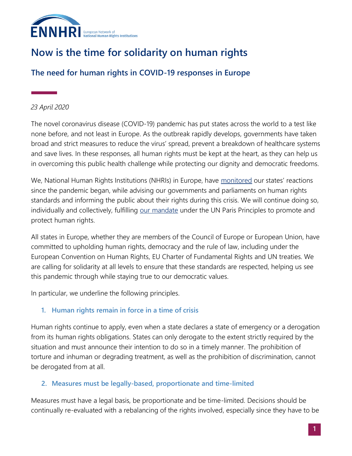

# **Now is the time for solidarity on human rights**

## **The need for human rights in COVID-19 responses in Europe**

#### *23 April 2020*

The novel coronavirus disease (COVID-19) pandemic has put states across the world to a test like none before, and not least in Europe. As the outbreak rapidly develops, governments have taken broad and strict measures to reduce the virus' spread, prevent a breakdown of healthcare systems and save lives. In these responses, all human rights must be kept at the heart, as they can help us in overcoming this public health challenge while protecting our dignity and democratic freedoms.

We, National Human Rights Institutions (NHRIs) in Europe, have [monitored](http://ennhri.org/news-and-blog/covid-19-how-are-nhris-in-europe-responding/) our states' reactions since the pandemic began, while advising our governments and parliaments on human rights standards and informing the public about their rights during this crisis. We will continue doing so, individually and collectively, fulfilling [our mandate](http://ennhri.org/about-nhris/) under the UN Paris Principles to promote and protect human rights.

All states in Europe, whether they are members of the Council of Europe or European Union, have committed to upholding human rights, democracy and the rule of law, including under the European Convention on Human Rights, EU Charter of Fundamental Rights and UN treaties. We are calling for solidarity at all levels to ensure that these standards are respected, helping us see this pandemic through while staying true to our democratic values.

In particular, we underline the following principles.

#### **1. Human rights remain in force in a time of crisis**

Human rights continue to apply, even when a state declares a state of emergency or a derogation from its human rights obligations. States can only derogate to the extent strictly required by the situation and must announce their intention to do so in a timely manner. The prohibition of torture and inhuman or degrading treatment, as well as the prohibition of discrimination, cannot be derogated from at all.

#### **2. Measures must be legally-based, proportionate and time-limited**

Measures must have a legal basis, be proportionate and be time-limited. Decisions should be continually re-evaluated with a rebalancing of the rights involved, especially since they have to be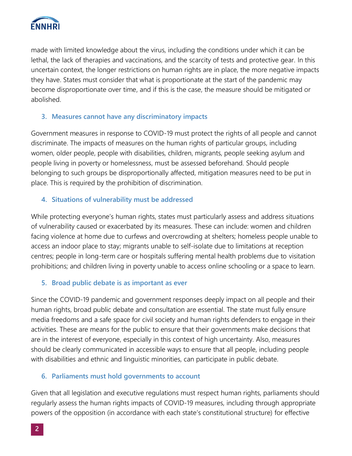

made with limited knowledge about the virus, including the conditions under which it can be lethal, the lack of therapies and vaccinations, and the scarcity of tests and protective gear. In this uncertain context, the longer restrictions on human rights are in place, the more negative impacts they have. States must consider that what is proportionate at the start of the pandemic may become disproportionate over time, and if this is the case, the measure should be mitigated or abolished.

#### **3. Measures cannot have any discriminatory impacts**

Government measures in response to COVID-19 must protect the rights of all people and cannot discriminate. The impacts of measures on the human rights of particular groups, including women, older people, people with disabilities, children, migrants, people seeking asylum and people living in poverty or homelessness, must be assessed beforehand. Should people belonging to such groups be disproportionally affected, mitigation measures need to be put in place. This is required by the prohibition of discrimination.

#### **4. Situations of vulnerability must be addressed**

While protecting everyone's human rights, states must particularly assess and address situations of vulnerability caused or exacerbated by its measures. These can include: women and children facing violence at home due to curfews and overcrowding at shelters; homeless people unable to access an indoor place to stay; migrants unable to self-isolate due to limitations at reception centres; people in long-term care or hospitals suffering mental health problems due to visitation prohibitions; and children living in poverty unable to access online schooling or a space to learn.

#### **5. Broad public debate is as important as ever**

Since the COVID-19 pandemic and government responses deeply impact on all people and their human rights, broad public debate and consultation are essential. The state must fully ensure media freedoms and a safe space for civil society and human rights defenders to engage in their activities. These are means for the public to ensure that their governments make decisions that are in the interest of everyone, especially in this context of high uncertainty. Also, measures should be clearly communicated in accessible ways to ensure that all people, including people with disabilities and ethnic and linguistic minorities, can participate in public debate.

#### **6. Parliaments must hold governments to account**

Given that all legislation and executive regulations must respect human rights, parliaments should regularly assess the human rights impacts of COVID-19 measures, including through appropriate powers of the opposition (in accordance with each state's constitutional structure) for effective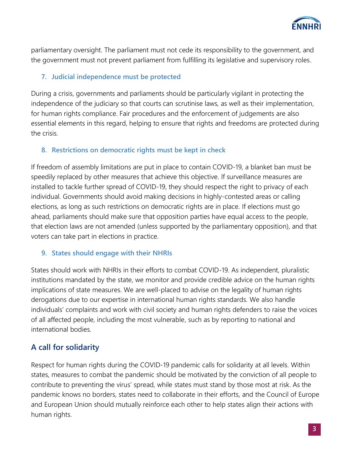

parliamentary oversight. The parliament must not cede its responsibility to the government, and the government must not prevent parliament from fulfilling its legislative and supervisory roles.

#### **7. Judicial independence must be protected**

During a crisis, governments and parliaments should be particularly vigilant in protecting the independence of the judiciary so that courts can scrutinise laws, as well as their implementation, for human rights compliance. Fair procedures and the enforcement of judgements are also essential elements in this regard, helping to ensure that rights and freedoms are protected during the crisis.

#### **8. Restrictions on democratic rights must be kept in check**

If freedom of assembly limitations are put in place to contain COVID-19, a blanket ban must be speedily replaced by other measures that achieve this objective. If surveillance measures are installed to tackle further spread of COVID-19, they should respect the right to privacy of each individual. Governments should avoid making decisions in highly-contested areas or calling elections, as long as such restrictions on democratic rights are in place. If elections must go ahead, parliaments should make sure that opposition parties have equal access to the people, that election laws are not amended (unless supported by the parliamentary opposition), and that voters can take part in elections in practice.

#### **9. States should engage with their NHRIs**

States should work with NHRIs in their efforts to combat COVID-19. As independent, pluralistic institutions mandated by the state, we monitor and provide credible advice on the human rights implications of state measures. We are well-placed to advise on the legality of human rights derogations due to our expertise in international human rights standards. We also handle individuals' complaints and work with civil society and human rights defenders to raise the voices of all affected people, including the most vulnerable, such as by reporting to national and international bodies.

### **A call for solidarity**

Respect for human rights during the COVID-19 pandemic calls for solidarity at all levels. Within states, measures to combat the pandemic should be motivated by the conviction of all people to contribute to preventing the virus' spread, while states must stand by those most at risk. As the pandemic knows no borders, states need to collaborate in their efforts, and the Council of Europe and European Union should mutually reinforce each other to help states align their actions with human rights.